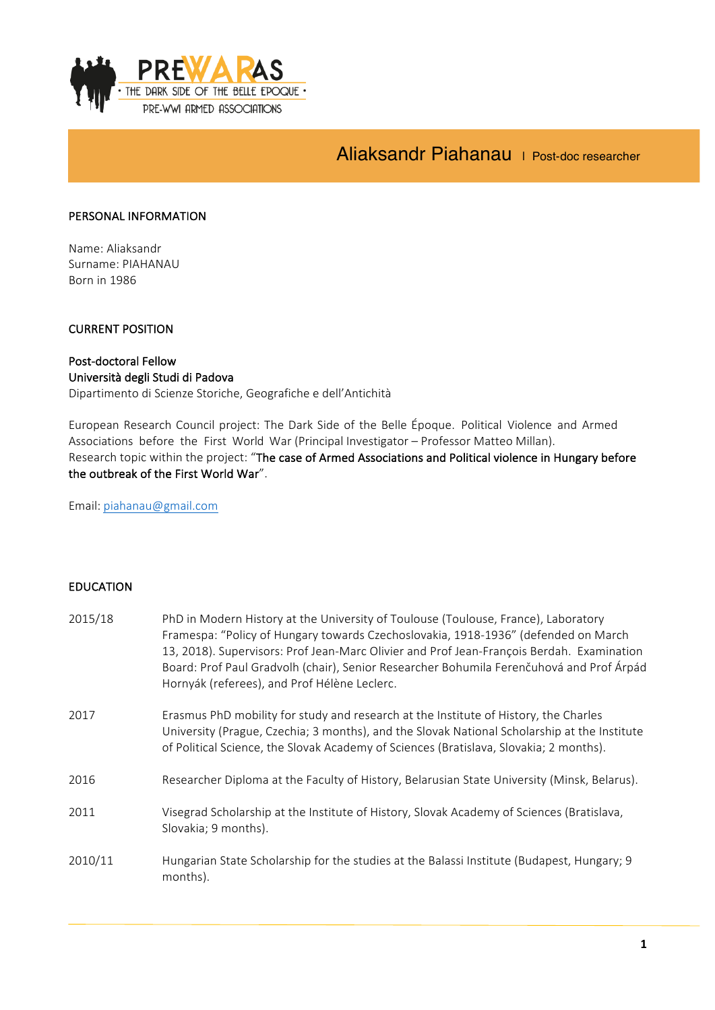

# Aliaksandr Piahanau | Post-doc researcher

# PERSONAL INFORMATION

Name: Aliaksandr Surname: PIAHANAU Born in 1986

# **CURRENT POSITION**

## Post-doctoral Fellow Università degli Studi di Padova

Dipartimento di Scienze Storiche, Geografiche e dell'Antichità

European Research Council project: The Dark Side of the Belle Époque. Political Violence and Armed Associations before the First World War (Principal Investigator - Professor Matteo Millan). Research topic within the project: "The case of Armed Associations and Political violence in Hungary before the outbreak of the First World War".

Email: piahanau@gmail.com

# EDUCATION

| 2015/18 | PhD in Modern History at the University of Toulouse (Toulouse, France), Laboratory<br>Framespa: "Policy of Hungary towards Czechoslovakia, 1918-1936" (defended on March<br>13, 2018). Supervisors: Prof Jean-Marc Olivier and Prof Jean-François Berdah. Examination<br>Board: Prof Paul Gradvolh (chair), Senior Researcher Bohumila Ferenčuhová and Prof Árpád<br>Hornyák (referees), and Prof Hélène Leclerc. |
|---------|-------------------------------------------------------------------------------------------------------------------------------------------------------------------------------------------------------------------------------------------------------------------------------------------------------------------------------------------------------------------------------------------------------------------|
| 2017    | Erasmus PhD mobility for study and research at the Institute of History, the Charles<br>University (Prague, Czechia; 3 months), and the Slovak National Scholarship at the Institute<br>of Political Science, the Slovak Academy of Sciences (Bratislava, Slovakia; 2 months).                                                                                                                                    |
| 2016    | Researcher Diploma at the Faculty of History, Belarusian State University (Minsk, Belarus).                                                                                                                                                                                                                                                                                                                       |
| 2011    | Visegrad Scholarship at the Institute of History, Slovak Academy of Sciences (Bratislava,<br>Slovakia; 9 months).                                                                                                                                                                                                                                                                                                 |
| 2010/11 | Hungarian State Scholarship for the studies at the Balassi Institute (Budapest, Hungary; 9<br>months).                                                                                                                                                                                                                                                                                                            |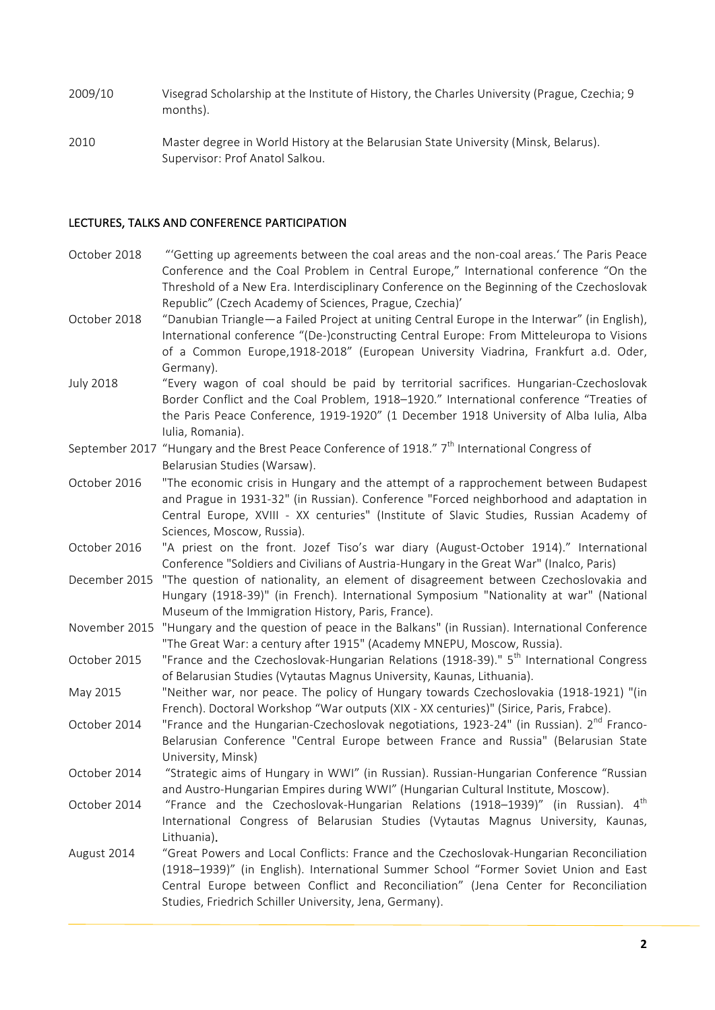2009/10 Visegrad Scholarship at the Institute of History, the Charles University (Prague, Czechia; 9 months).

2010 Master degree in World History at the Belarusian State University (Minsk, Belarus). Supervisor: Prof Anatol Salkou.

## LECTURES, TALKS AND CONFERENCE PARTICIPATION

- October 2018 ""Getting up agreements between the coal areas and the non-coal areas.' The Paris Peace Conference and the Coal Problem in Central Europe," International conference "On the Threshold of a New Era. Interdisciplinary Conference on the Beginning of the Czechoslovak Republic" (Czech Academy of Sciences, Prague, Czechia)'
- October 2018 "Danubian Triangle—a Failed Project at uniting Central Europe in the Interwar" (in English), International conference "(De-)constructing Central Europe: From Mitteleuropa to Visions of a Common Europe,1918-2018" (European University Viadrina, Frankfurt a.d. Oder, Germany).
- July 2018 "Every wagon of coal should be paid by territorial sacrifices. Hungarian-Czechoslovak Border Conflict and the Coal Problem, 1918–1920." International conference "Treaties of the Paris Peace Conference, 1919-1920" (1 December 1918 University of Alba Iulia, Alba Iulia, Romania).
- September 2017 "Hungary and the Brest Peace Conference of 1918." 7<sup>th</sup> International Congress of Belarusian Studies (Warsaw).
- October 2016 "The economic crisis in Hungary and the attempt of a rapprochement between Budapest and Prague in 1931-32" (in Russian). Conference "Forced neighborhood and adaptation in Central Europe, XVIII - XX centuries" (Institute of Slavic Studies, Russian Academy of Sciences, Moscow, Russia).
- October 2016 "A priest on the front. Jozef Tiso's war diary (August-October 1914)." International Conference "Soldiers and Civilians of Austria-Hungary in the Great War" (Inalco, Paris)
- December 2015 "The question of nationality, an element of disagreement between Czechoslovakia and Hungary (1918-39)" (in French). International Symposium "Nationality at war" (National Museum of the Immigration History, Paris, France).
- November 2015 "Hungary and the question of peace in the Balkans" (in Russian). International Conference "The Great War: a century after 1915" (Academy MNEPU, Moscow, Russia).
- October 2015 "France and the Czechoslovak-Hungarian Relations (1918-39)." 5<sup>th</sup> International Congress of Belarusian Studies (Vytautas Magnus University, Kaunas, Lithuania).
- May 2015 "Neither war, nor peace. The policy of Hungary towards Czechoslovakia (1918-1921) "(in French). Doctoral Workshop "War outputs (XIX - XX centuries)" (Sirice, Paris, Frabce).
- October 2014 "France and the Hungarian-Czechoslovak negotiations, 1923-24" (in Russian).  $2^{nd}$  Franco-Belarusian Conference "Central Europe between France and Russia" (Belarusian State University, Minsk)
- October 2014 "Strategic aims of Hungary in WWI" (in Russian). Russian-Hungarian Conference "Russian and Austro-Hungarian Empires during WWI" (Hungarian Cultural Institute, Moscow).
- October 2014 "France and the Czechoslovak-Hungarian Relations (1918–1939)" (in Russian). 4<sup>th</sup> International Congress of Belarusian Studies (Vytautas Magnus University, Kaunas, Lithuania).
- August 2014 "Great Powers and Local Conflicts: France and the Czechoslovak-Hungarian Reconciliation (1918–1939)" (in English). International Summer School "Former Soviet Union and East Central Europe between Conflict and Reconciliation" (Jena Center for Reconciliation Studies, Friedrich Schiller University, Jena, Germany).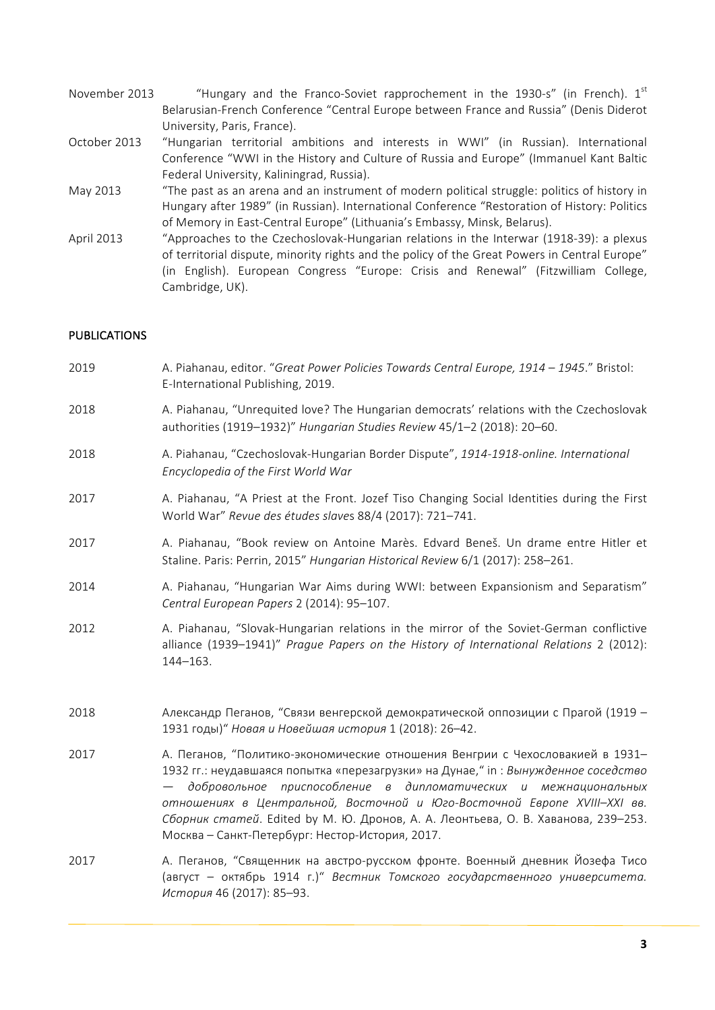- November 2013  $\mu$  "Hungary and the Franco-Soviet rapprochement in the 1930-s" (in French).  $1^{st}$ Belarusian-French Conference "Central Europe between France and Russia" (Denis Diderot University, Paris, France).
- October 2013 "Hungarian territorial ambitions and interests in WWI" (in Russian). International Conference "WWI in the History and Culture of Russia and Europe" (Immanuel Kant Baltic Federal University, Kaliningrad, Russia).
- May 2013 "The past as an arena and an instrument of modern political struggle: politics of history in Hungary after 1989" (in Russian). International Conference "Restoration of History: Politics of Memory in East-Central Europe" (Lithuania's Embassy, Minsk, Belarus).
- April 2013 ""Approaches to the Czechoslovak-Hungarian relations in the Interwar (1918-39): a plexus of territorial dispute, minority rights and the policy of the Great Powers in Central Europe" (in English). European Congress "Europe: Crisis and Renewal" (Fitzwilliam College, Cambridge, UK).

## **PUBLICATIONS**

- 2019 **A.** Piahanau, editor. "Great Power Policies Towards Central Europe, 1914 1945." Bristol: E-International Publishing, 2019.
- 2018 A. Piahanau, "Unrequited love? The Hungarian democrats' relations with the Czechoslovak authorities (1919–1932)" *Hungarian Studies Review* 45/1–2 (2018): 20–60.
- 2018 A. Piahanau, "Czechoslovak-Hungarian Border Dispute", 1914-1918-online. International *Encyclopedia of the First World War*
- 2017 A. Piahanau, "A Priest at the Front. Jozef Tiso Changing Social Identities during the First World War" *Revue des études slave*s 88/4 (2017): 721–741.
- 2017 A. Piahanau, "Book review on Antoine Marès. Edvard Beneš. Un drame entre Hitler et Staline. Paris: Perrin, 2015" *Hungarian Historical Review 6*/1 (2017): 258–261.
- 2014 A. Piahanau, "Hungarian War Aims during WWI: between Expansionism and Separatism" *Central European Papers* 2 (2014): 95–107.
- 2012 A. Piahanau, "Slovak-Hungarian relations in the mirror of the Soviet-German conflictive alliance (1939–1941)" Prague Papers on the History of International Relations 2 (2012): 144–163.
- 2018 Александр Пеганов, "Связи венгерской демократической оппозиции с Прагой (1919 1931 годы)" *Новая и Новейшая история* 1 (2018): 26-42.
- 2017 А. Пеганов, "Политико-экономические отношения Венгрии с Чехословакией в 1931-1932 гг.: неудавшаяся попытка «перезагрузки» на Дунае," in : Вынужденное *соседство — добровольное приспособление в дипломатических и межнациональных отношениях в Центральной, Восточной и Юго-Восточной Европе XVIII–XXI вв. Сборник статей*. Edited by М. Ю. Дронов, А. А. Леонтьева, О. В. Хаванова, 239–253. Москва – Санкт-Петербург: Нестор-История, 2017.
- 2017 А. Пеганов. "Священник на австро-русском фронте. Военный дневник Йозефа Тисо (август – октябрь 1914 г.)" *Вестник Томского государственного университета. История* 46 (2017): 85–93.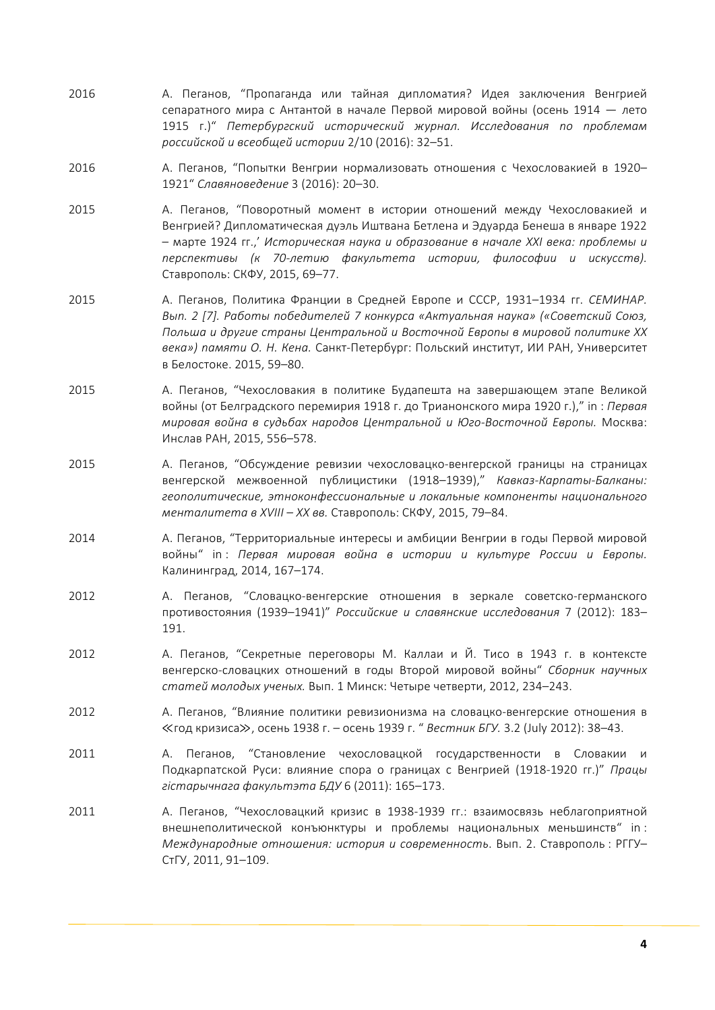- 2016 А. Пеганов, "Пропаганда или тайная дипломатия? Идея заключения Венгрией сепаратного мира с Антантой в начале Первой мировой войны (осень 1914 - лето 1915 г.)" *Петербургский исторический журнал. Исследования по проблемам российской и всеобщей истории* 2/10 (2016): 32–51.
- 2016 А. Пеганов, "Попытки Венгрии нормализовать отношения с Чехословакией в 1920-1921" Славяноведение 3 (2016): 20-30.
- 2015 А. Пеганов, "Поворотный момент в истории отношений между Чехословакией и Венгрией? Дипломатическая дуэль Иштвана Бетлена и Эдуарда Бенеша в январе 1922 – марте 1924 гг.,' *Историческая наука и образование в начале XXI века: проблемы и перспективы (к 70-летию факультета истории, философии и искусств).* Ставрополь: СКФУ, 2015, 69-77.
- 2015 А. Пеганов, Политика Франции в Средней Европе и СССР, 1931–1934 гг. *СЕМИНАР*. *Вып. 2 [7]. Работы победителей 7 конкурса «Актуальная наука» («Советский Союз, Польша и другие страны Центральной и Восточной Европы в мировой политике XX века») памяти О. Н. Кена.* Санкт-Петербург: Польский институт, ИИ РАН, Университет в Белостоке. 2015, 59-80.
- 2015 А. Пеганов, "Чехословакия в политике Будапешта на завершающем этапе Великой войны (от Белградского перемирия 1918 г. до Трианонского мира 1920 г.)," in : *Первая мировая война в судьбах народов Центральной и Юго-Восточной Европы.* Москва: Инслав РАН, 2015, 556-578.
- 2015 А. Пеганов, "Обсуждение ревизии чехословацко-венгерской границы на страницах венгерской межвоенной публицистики (1918–1939)," Кавказ-Карпаты-Балканы: *геополитические, этноконфессиональные и локальные компоненты национального менталитета в XVIII – XX вв.* Ставрополь: СКФУ, 2015, 79–84.
- 2014 А. Пеганов, "Территориальные интересы и амбиции Венгрии в годы Первой мировой войны" in : *Первая мировая война в истории и культуре России и Европы.*  Калининград, 2014, 167-174.
- 2012 А. Пеганов, "Словацко-венгерские отношения в зеркале советско-германского противостояния (1939–1941)" *Российские и славянские исследования* 7 (2012): 183– 191.
- 2012 А. Пеганов, "Секретные переговоры М. Каллаи и Й. Тисо в 1943 г. в контексте венгерско-словацких отношений в годы Второй мировой войны" *Сборник научных статей молодых ученых.* Bып. 1 Минск: Четыре четверти, 2012, 234–243.
- 2012 А. Пеганов, "Влияние политики ревизионизма на словацко-венгерские отношения в ≪год кризиса≫, осень 1938 г. – осень 1939 г. " *Вестник БГУ.* 3.2 (July 2012): 38–43.
- 2011 Леганов, "Становление чехословацкой государственности в Словакии и Подкарпатской Руси: влияние спора о границах с Венгрией (1918-1920 гг.)" *Працы гістарычнага факультэта БДУ* 6 (2011): 165–173.
- 2011 А. Пеганов, "Чехословацкий кризис в 1938-1939 гг.: взаимосвязь неблагоприятной внешнеполитической конъюнктуры и проблемы национальных меньшинств" in : *Международные отношения: история и современность*. Вып. 2. Ставрополь : РГГУ– СтГУ, 2011, 91-109.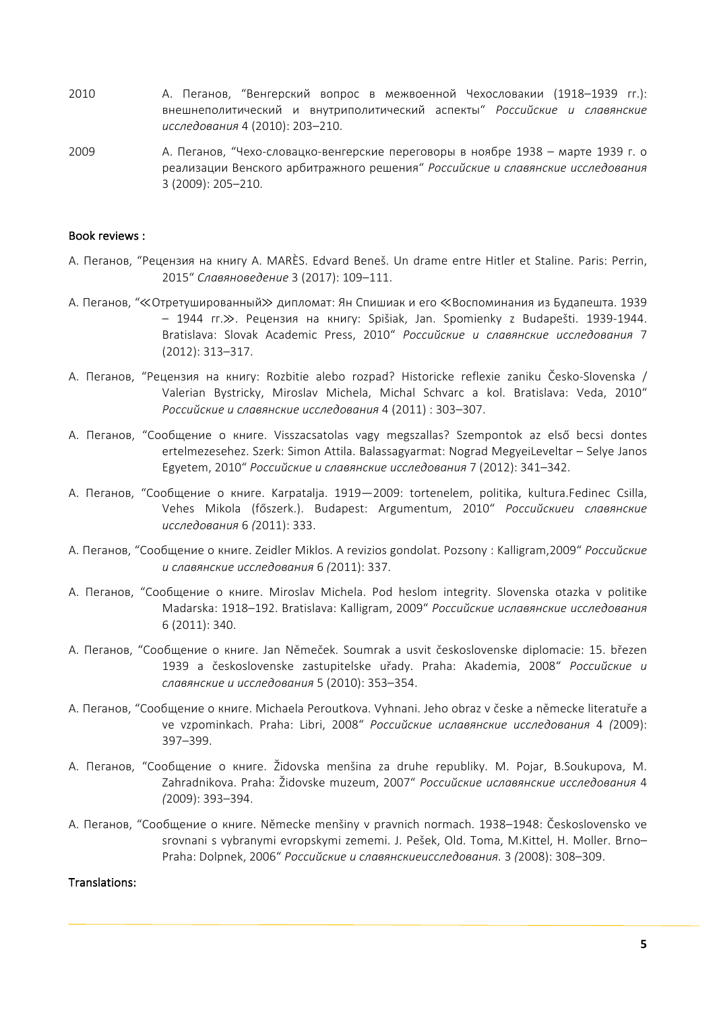- 2010 А. Пеганов, "Венгерский вопрос в межвоенной Чехословакии (1918–1939 гг.): внешнеполитический и внутриполитический аспекты" *Российские и славянские исследования* 4 (2010): 203–210.
- 2009 А. Пеганов, "Чехо-словацко-венгерские переговоры в ноябре 1938 марте 1939 г. о реализации Венского арбитражного решения" *Российские и славянские исследования* 3 (2009): 205–210.

#### Book reviews :

- А. Пеганов, "Рецензия на книгу A. MARÈS. Edvard Beneš. Un drame entre Hitler et Staline. Paris: Perrin, 2015" Славяноведение 3 (2017): 109-111.
- А. Пеганов, "≪Отретушированный≫ дипломат: Ян Спишиак и его «Воспоминания из Будапешта. 1939 – 1944 гг.≫. Рецензия на книгу: Spišiak, Jan. Spomienky z Budapešti. 1939-1944. Bratislava: Slovak Academic Press, 2010" *Российские и славянские исследования* 7 (2012): 313–317.
- А. Пеганов, "Рецензия на книгу: Rozbitie alebo rozpad? Historicke reflexie zaniku Česko-Slovenska / Valerian Bystricky, Miroslav Michela, Michal Schvarc a kol. Bratislava: Veda, 2010" *Российские и славянские исследования* 4 (2011) : 303–307.
- A. Пеганов, "Сообщение о книге. Visszacsatolas vagy megszallas? Szempontok az első becsi dontes ertelmezesehez. Szerk: Simon Attila. Balassagyarmat: Nograd MegyeiLeveltar – Selye Janos Egyetem, 2010" *Российские и славянские исследования* 7 (2012): 341–342.
- А. Пеганов, "Сообщение о книге. Karpatalja. 1919—2009: tortenelem, politika, kultura.Fedinec Csilla, Vehes Mikola (főszerk.). Budapest: Argumentum, 2010" *Российскиеи славянские исследования* 6 *(*2011): 333.
- А. Пеганов, "Сообщение о книге. Zeidler Miklos. A revizios gondolat. Pozsony : Kalligram,2009" *Российские и славянские исследования* 6 *(*2011): 337.
- А. Пеганов, "Сообщение о книге. Miroslav Michela. Pod heslom integrity. Slovenska otazka v politike Madarska: 1918–192. Bratislava: Kalligram, 2009" *Российские иславянские исследования* 6 (2011): 340.
- А. Пеганов, "Сообщение о книге. Jan Němeček. Soumrak a usvit československe diplomacie: 15. březen 1939 a československe zastupitelske uřady. Praha: Akademia, 2008" *Российские и славянские и исследования* 5 (2010): 353–354.
- А. Пеганов, "Сообщение о книге. Michaela Peroutkova. Vyhnani. Jeho obraz v česke a německe literatuře a ve vzpominkach. Praha: Libri, 2008" *Российские иславянские исследования* 4 *(*2009): 397–399.
- А. Пеганов, "Сообщение о книге. Židovska menšina za druhe republiky. M. Pojar, B.Soukupova, M. Zahradnikova. Praha: Židovske muzeum, 2007" *Российские иславянские исследования* 4 *(*2009): 393–394.
- А. Пеганов, "Сообщение о книге. Německe menšiny v pravnich normach. 1938–1948: Československo ve srovnani s vybranymi evropskymi zememi. J. Pešek, Old. Toma, M.Kittel, H. Moller. Brno-Praha: Dolpnek, 2006" *Российские и славянскиеисследования.* 3 *(*2008): 308–309.

#### Translations: